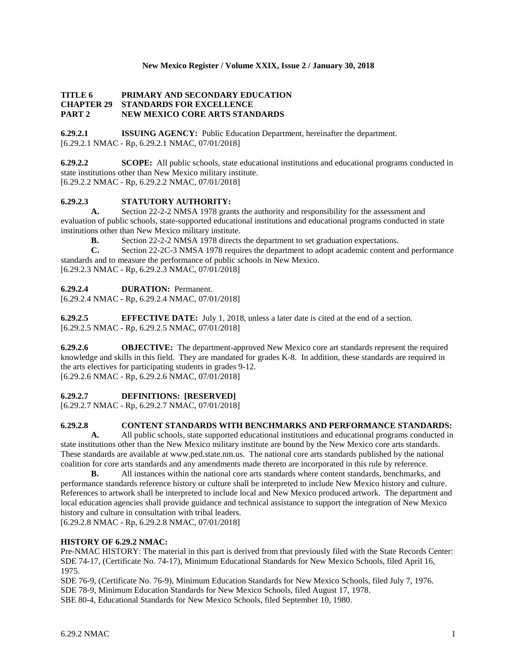#### **New Mexico Register / Volume XXIX, Issue 2 / January 30, 2018**

# **TITLE 6 PRIMARY AND SECONDARY EDUCATION CHAPTER 29 STANDARDS FOR EXCELLENCE PART 2 NEW MEXICO CORE ARTS STANDARDS**

**6.29.2.1 ISSUING AGENCY:** Public Education Department, hereinafter the department. [6.29.2.1 NMAC - Rp, 6.29.2.1 NMAC, 07/01/2018]

**6.29.2.2 SCOPE:** All public schools, state educational institutions and educational programs conducted in state institutions other than New Mexico military institute. [6.29.2.2 NMAC - Rp, 6.29.2.2 NMAC, 07/01/2018]

# **6.29.2.3 STATUTORY AUTHORITY:**

**A.** Section 22-2-2 NMSA 1978 grants the authority and responsibility for the assessment and evaluation of public schools, state-supported educational institutions and educational programs conducted in state institutions other than New Mexico military institute.

**B.** Section 22-2-2 NMSA 1978 directs the department to set graduation expectations.<br>C. Section 22-2C-3 NMSA 1978 requires the department to adopt academic content a

**C.** Section 22-2C-3 NMSA 1978 requires the department to adopt academic content and performance standards and to measure the performance of public schools in New Mexico.

[6.29.2.3 NMAC - Rp, 6.29.2.3 NMAC, 07/01/2018]

# **6.29.2.4 DURATION:** Permanent.

[6.29.2.4 NMAC - Rp, 6.29.2.4 NMAC, 07/01/2018]

**6.29.2.5 EFFECTIVE DATE:** July 1, 2018, unless a later date is cited at the end of a section. [6.29.2.5 NMAC - Rp, 6.29.2.5 NMAC, 07/01/2018]

**6.29.2.6 OBJECTIVE:** The department-approved New Mexico core art standards represent the required knowledge and skills in this field. They are mandated for grades K-8. In addition, these standards are required in the arts electives for participating students in grades 9-12. [6.29.2.6 NMAC - Rp, 6.29.2.6 NMAC, 07/01/2018]

**6.29.2.7 DEFINITIONS: [RESERVED]**

[6.29.2.7 NMAC - Rp, 6.29.2.7 NMAC, 07/01/2018]

# **6.29.2.8 CONTENT STANDARDS WITH BENCHMARKS AND PERFORMANCE STANDARDS:**

**A.** All public schools, state supported educational institutions and educational programs conducted in state institutions other than the New Mexico military institute are bound by the New Mexico core arts standards. These standards are available at www.ped.state.nm.us. The national core arts standards published by the national coalition for core arts standards and any amendments made thereto are incorporated in this rule by reference.

**B.** All instances within the national core arts standards where content standards, benchmarks, and performance standards reference history or culture shall be interpreted to include New Mexico history and culture. References to artwork shall be interpreted to include local and New Mexico produced artwork. The department and local education agencies shall provide guidance and technical assistance to support the integration of New Mexico history and culture in consultation with tribal leaders.

[6.29.2.8 NMAC - Rp, 6.29.2.8 NMAC, 07/01/2018]

#### **HISTORY OF 6.29.2 NMAC:**

Pre-NMAC HISTORY: The material in this part is derived from that previously filed with the State Records Center: SDE 74-17, (Certificate No. 74-17), Minimum Educational Standards for New Mexico Schools, filed April 16, 1975.

SDE 76-9, (Certificate No. 76-9), Minimum Education Standards for New Mexico Schools, filed July 7, 1976. SDE 78-9, Minimum Education Standards for New Mexico Schools, filed August 17, 1978. SBE 80-4, Educational Standards for New Mexico Schools, filed September 10, 1980.